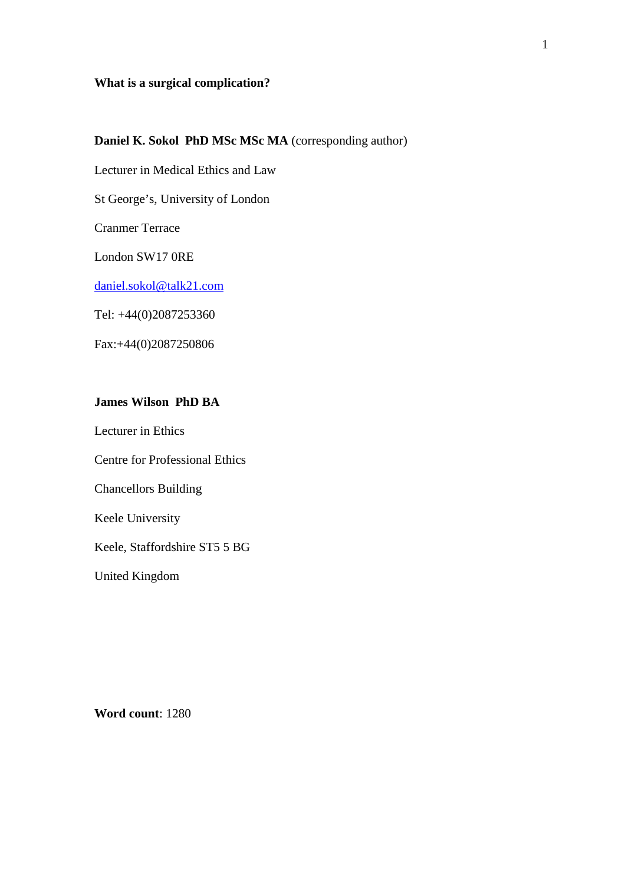### **What is a surgical complication?**

## **Daniel K. Sokol PhD MSc MSc MA** (corresponding author)

Lecturer in Medical Ethics and Law

St George's, University of London

Cranmer Terrace

London SW17 0RE

daniel.sokol@talk21.com

Tel: +44(0)2087253360

Fax:+44(0)2087250806

## **James Wilson PhD BA**

Lecturer in Ethics

Centre for Professional Ethics

Chancellors Building

Keele University

Keele, Staffordshire ST5 5 BG

United Kingdom

1

**Word count**: 1280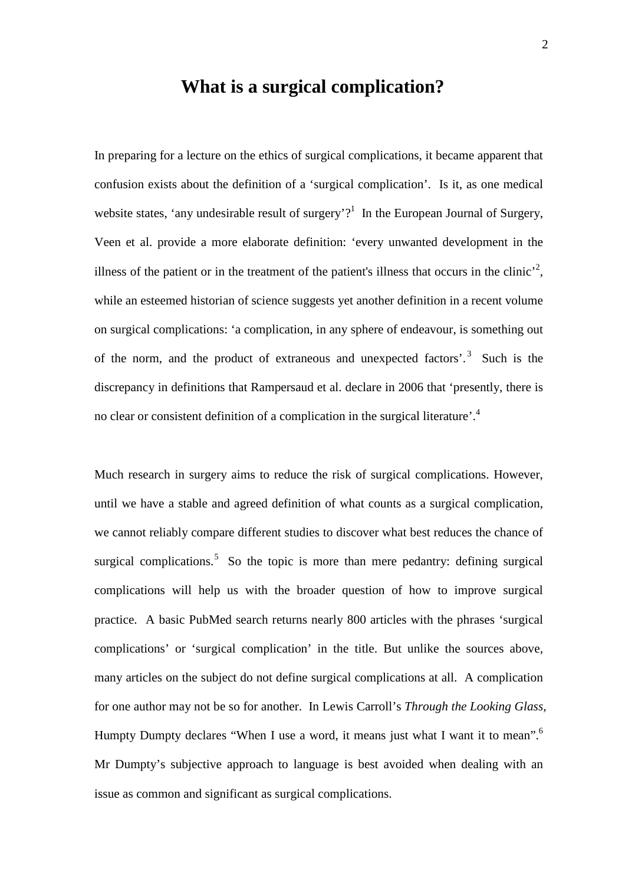# **What is a surgical complication?**

In preparing for a lecture on the ethics of surgical complications, it became apparent that confusion exists about the definition of a 'surgical complication'. Is it, as one medical website states, 'any undesirable result of surgery'?<sup>1</sup> In the European Journal of Surgery, Veen et al. provide a more elaborate definition: 'every unwanted development in the illness of the patient or in the treatment of the patient's illness that occurs in the clinic<sup>2</sup>, while an esteemed historian of science suggests yet another definition in a recent volume on surgical complications: 'a complication, in any sphere of endeavour, is something out of the norm, and the product of extraneous and unexpected factors'. 3 Such is the discrepancy in definitions that Rampersaud et al. declare in 2006 that 'presently, there is no clear or consistent definition of a complication in the surgical literature'.<sup>4</sup>

Much research in surgery aims to reduce the risk of surgical complications. However, until we have a stable and agreed definition of what counts as a surgical complication, we cannot reliably compare different studies to discover what best reduces the chance of surgical complications.<sup>5</sup> So the topic is more than mere pedantry: defining surgical complications will help us with the broader question of how to improve surgical practice. A basic PubMed search returns nearly 800 articles with the phrases 'surgical complications' or 'surgical complication' in the title. But unlike the sources above, many articles on the subject do not define surgical complications at all. A complication for one author may not be so for another. In Lewis Carroll's *Through the Looking Glass*, Humpty Dumpty declares "When I use a word, it means just what I want it to mean".<sup>6</sup> Mr Dumpty's subjective approach to language is best avoided when dealing with an issue as common and significant as surgical complications.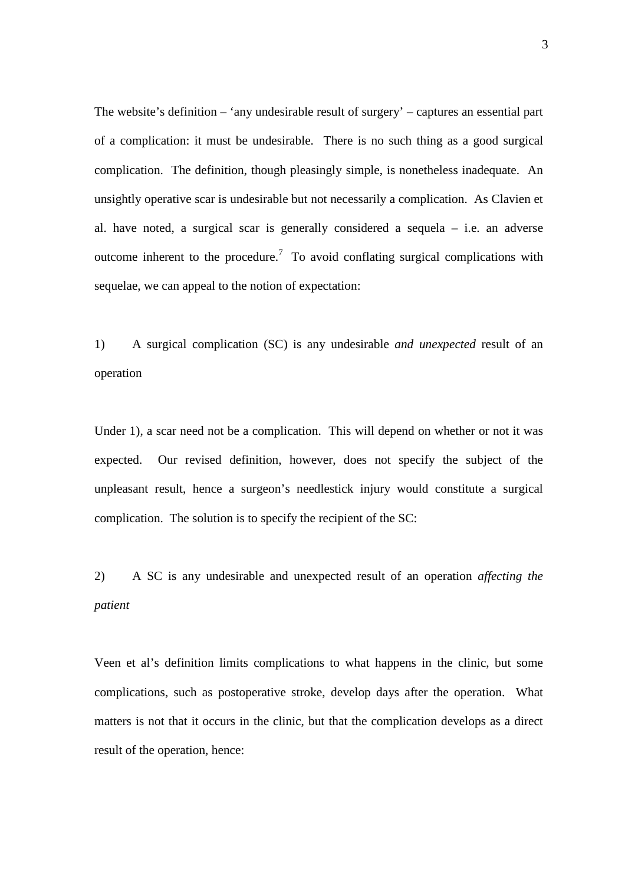The website's definition – 'any undesirable result of surgery' – captures an essential part of a complication: it must be undesirable. There is no such thing as a good surgical complication. The definition, though pleasingly simple, is nonetheless inadequate. An unsightly operative scar is undesirable but not necessarily a complication. As Clavien et al. have noted, a surgical scar is generally considered a sequela – i.e. an adverse outcome inherent to the procedure.<sup>7</sup> To avoid conflating surgical complications with sequelae, we can appeal to the notion of expectation:

1) A surgical complication (SC) is any undesirable *and unexpected* result of an operation

Under 1), a scar need not be a complication. This will depend on whether or not it was expected. Our revised definition, however, does not specify the subject of the unpleasant result, hence a surgeon's needlestick injury would constitute a surgical complication. The solution is to specify the recipient of the SC:

2) A SC is any undesirable and unexpected result of an operation *affecting the patient*

Veen et al's definition limits complications to what happens in the clinic, but some complications, such as postoperative stroke, develop days after the operation. What matters is not that it occurs in the clinic, but that the complication develops as a direct result of the operation, hence: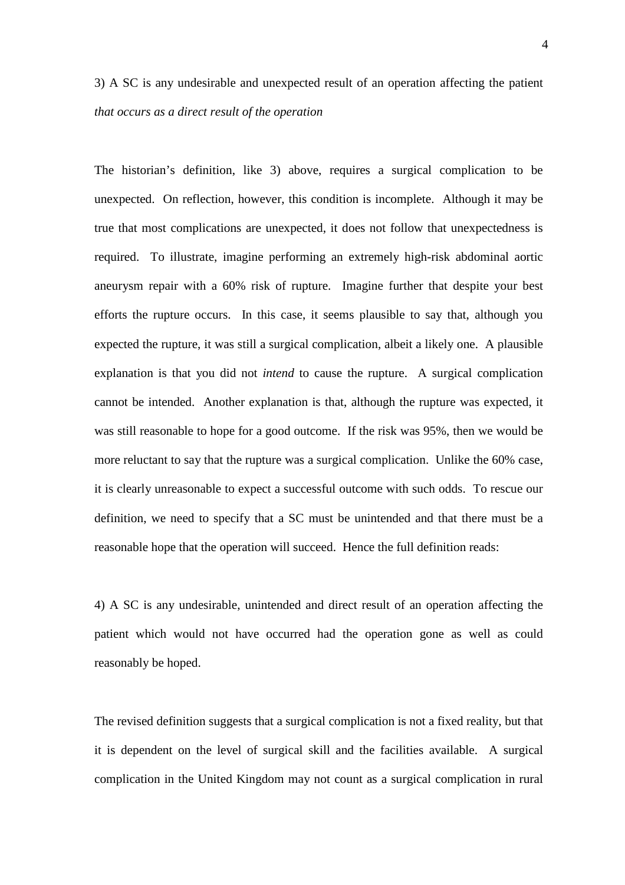# 3) A SC is any undesirable and unexpected result of an operation affecting the patient *that occurs as a direct result of the operation*

The historian's definition, like 3) above, requires a surgical complication to be unexpected. On reflection, however, this condition is incomplete. Although it may be true that most complications are unexpected, it does not follow that unexpectedness is required. To illustrate, imagine performing an extremely high-risk abdominal aortic aneurysm repair with a 60% risk of rupture. Imagine further that despite your best efforts the rupture occurs. In this case, it seems plausible to say that, although you expected the rupture, it was still a surgical complication, albeit a likely one. A plausible explanation is that you did not *intend* to cause the rupture. A surgical complication cannot be intended. Another explanation is that, although the rupture was expected, it was still reasonable to hope for a good outcome. If the risk was 95%, then we would be more reluctant to say that the rupture was a surgical complication. Unlike the 60% case, it is clearly unreasonable to expect a successful outcome with such odds. To rescue our definition, we need to specify that a SC must be unintended and that there must be a reasonable hope that the operation will succeed. Hence the full definition reads:

4) A SC is any undesirable, unintended and direct result of an operation affecting the patient which would not have occurred had the operation gone as well as could reasonably be hoped.

The revised definition suggests that a surgical complication is not a fixed reality, but that it is dependent on the level of surgical skill and the facilities available. A surgical complication in the United Kingdom may not count as a surgical complication in rural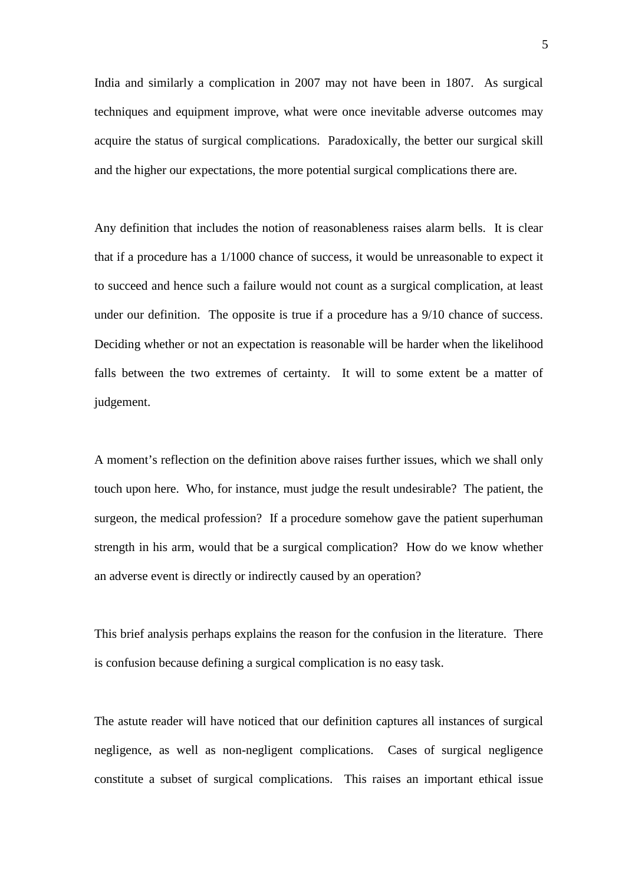India and similarly a complication in 2007 may not have been in 1807. As surgical techniques and equipment improve, what were once inevitable adverse outcomes may acquire the status of surgical complications. Paradoxically, the better our surgical skill and the higher our expectations, the more potential surgical complications there are.

Any definition that includes the notion of reasonableness raises alarm bells. It is clear that if a procedure has a 1/1000 chance of success, it would be unreasonable to expect it to succeed and hence such a failure would not count as a surgical complication, at least under our definition. The opposite is true if a procedure has a 9/10 chance of success. Deciding whether or not an expectation is reasonable will be harder when the likelihood falls between the two extremes of certainty. It will to some extent be a matter of judgement.

A moment's reflection on the definition above raises further issues, which we shall only touch upon here. Who, for instance, must judge the result undesirable? The patient, the surgeon, the medical profession? If a procedure somehow gave the patient superhuman strength in his arm, would that be a surgical complication? How do we know whether an adverse event is directly or indirectly caused by an operation?

This brief analysis perhaps explains the reason for the confusion in the literature. There is confusion because defining a surgical complication is no easy task.

The astute reader will have noticed that our definition captures all instances of surgical negligence, as well as non-negligent complications. Cases of surgical negligence constitute a subset of surgical complications. This raises an important ethical issue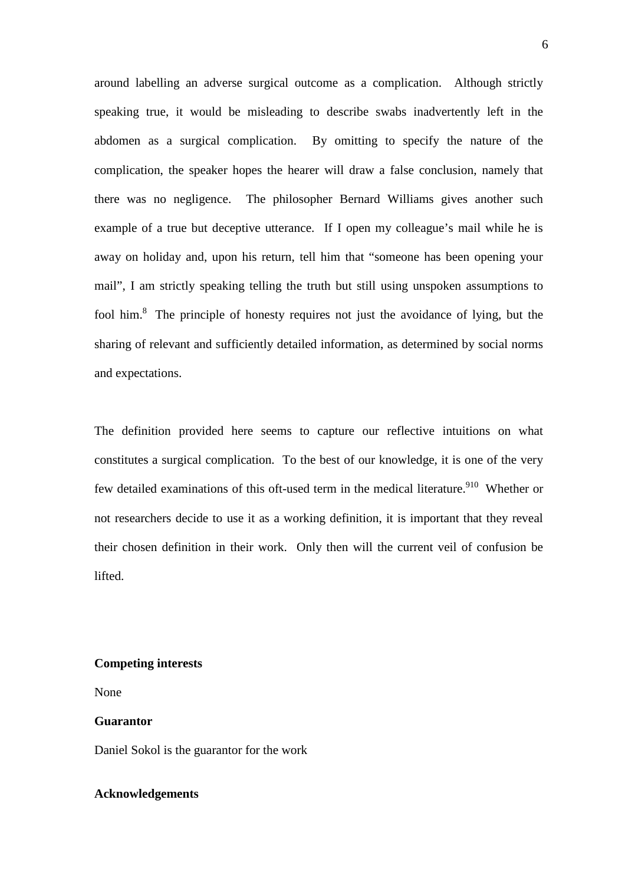around labelling an adverse surgical outcome as a complication. Although strictly speaking true, it would be misleading to describe swabs inadvertently left in the abdomen as a surgical complication. By omitting to specify the nature of the complication, the speaker hopes the hearer will draw a false conclusion, namely that there was no negligence. The philosopher Bernard Williams gives another such example of a true but deceptive utterance. If I open my colleague's mail while he is away on holiday and, upon his return, tell him that "someone has been opening your mail", I am strictly speaking telling the truth but still using unspoken assumptions to fool him.<sup>8</sup> The principle of honesty requires not just the avoidance of lying, but the sharing of relevant and sufficiently detailed information, as determined by social norms and expectations.

The definition provided here seems to capture our reflective intuitions on what constitutes a surgical complication. To the best of our knowledge, it is one of the very few detailed examinations of this oft-used term in the medical literature.<sup>910</sup> Whether or not researchers decide to use it as a working definition, it is important that they reveal their chosen definition in their work. Only then will the current veil of confusion be lifted.

### **Competing interests**

None

### **Guarantor**

Daniel Sokol is the guarantor for the work

### **Acknowledgements**